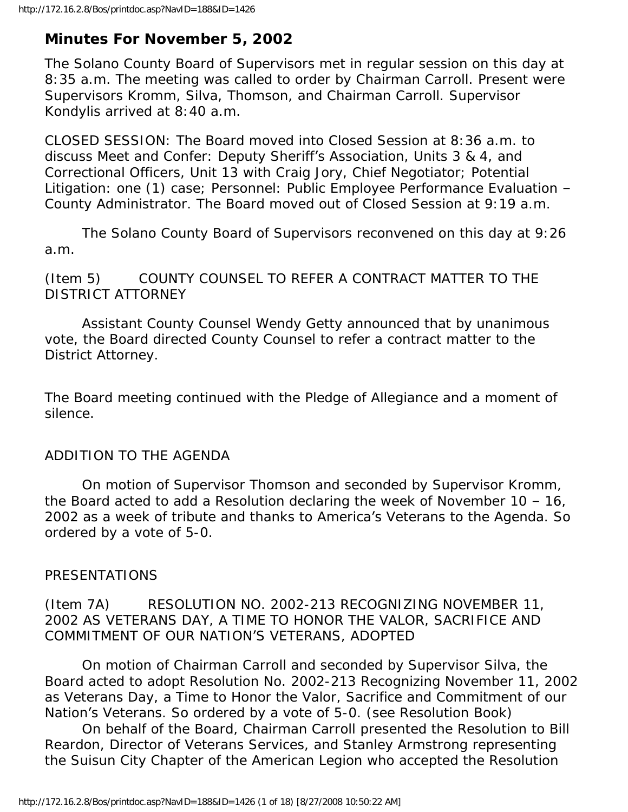# **Minutes For November 5, 2002**

The Solano County Board of Supervisors met in regular session on this day at 8:35 a.m. The meeting was called to order by Chairman Carroll. Present were Supervisors Kromm, Silva, Thomson, and Chairman Carroll. Supervisor Kondylis arrived at 8:40 a.m.

CLOSED SESSION: The Board moved into Closed Session at 8:36 a.m. to discuss Meet and Confer: Deputy Sheriff's Association, Units 3 & 4, and Correctional Officers, Unit 13 with Craig Jory, Chief Negotiator; Potential Litigation: one (1) case; Personnel: Public Employee Performance Evaluation – County Administrator. The Board moved out of Closed Session at 9:19 a.m.

 The Solano County Board of Supervisors reconvened on this day at 9:26 a.m.

(Item 5) COUNTY COUNSEL TO REFER A CONTRACT MATTER TO THE DISTRICT ATTORNEY

 Assistant County Counsel Wendy Getty announced that by unanimous vote, the Board directed County Counsel to refer a contract matter to the District Attorney.

The Board meeting continued with the Pledge of Allegiance and a moment of silence.

# ADDITION TO THE AGENDA

 On motion of Supervisor Thomson and seconded by Supervisor Kromm, the Board acted to add a Resolution declaring the week of November 10 – 16, 2002 as a week of tribute and thanks to America's Veterans to the Agenda. So ordered by a vote of 5-0.

# PRESENTATIONS

# (Item 7A) RESOLUTION NO. 2002-213 RECOGNIZING NOVEMBER 11, 2002 AS VETERANS DAY, A TIME TO HONOR THE VALOR, SACRIFICE AND COMMITMENT OF OUR NATION'S VETERANS, ADOPTED

 On motion of Chairman Carroll and seconded by Supervisor Silva, the Board acted to adopt Resolution No. 2002-213 Recognizing November 11, 2002 as Veterans Day, a Time to Honor the Valor, Sacrifice and Commitment of our Nation's Veterans. So ordered by a vote of 5-0. (see Resolution Book)

 On behalf of the Board, Chairman Carroll presented the Resolution to Bill Reardon, Director of Veterans Services, and Stanley Armstrong representing the Suisun City Chapter of the American Legion who accepted the Resolution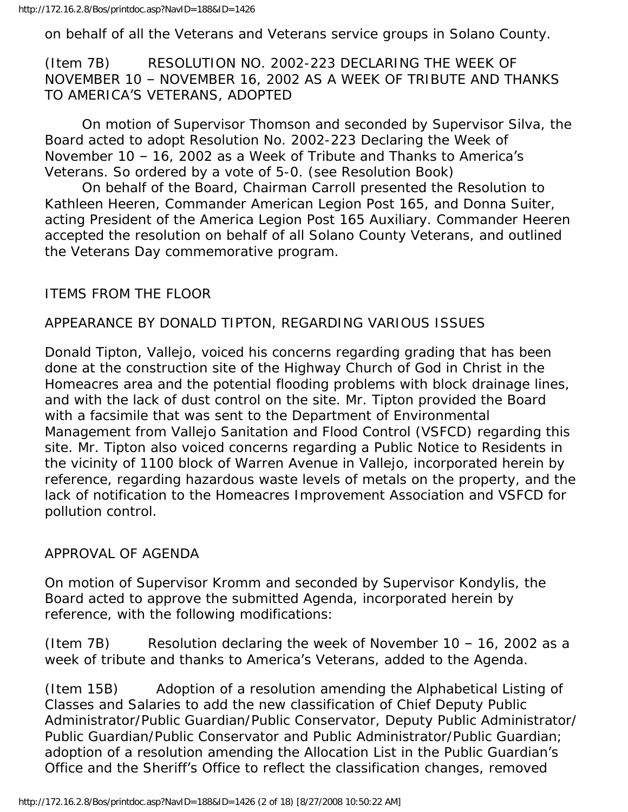on behalf of all the Veterans and Veterans service groups in Solano County.

(Item 7B) RESOLUTION NO. 2002-223 DECLARING THE WEEK OF NOVEMBER 10 – NOVEMBER 16, 2002 AS A WEEK OF TRIBUTE AND THANKS TO AMERICA'S VETERANS, ADOPTED

 On motion of Supervisor Thomson and seconded by Supervisor Silva, the Board acted to adopt Resolution No. 2002-223 Declaring the Week of November 10 – 16, 2002 as a Week of Tribute and Thanks to America's Veterans. So ordered by a vote of 5-0. (see Resolution Book)

 On behalf of the Board, Chairman Carroll presented the Resolution to Kathleen Heeren, Commander American Legion Post 165, and Donna Suiter, acting President of the America Legion Post 165 Auxiliary. Commander Heeren accepted the resolution on behalf of all Solano County Veterans, and outlined the Veterans Day commemorative program.

### ITEMS FROM THE FLOOR

# APPEARANCE BY DONALD TIPTON, REGARDING VARIOUS ISSUES

Donald Tipton, Vallejo, voiced his concerns regarding grading that has been done at the construction site of the Highway Church of God in Christ in the Homeacres area and the potential flooding problems with block drainage lines, and with the lack of dust control on the site. Mr. Tipton provided the Board with a facsimile that was sent to the Department of Environmental Management from Vallejo Sanitation and Flood Control (VSFCD) regarding this site. Mr. Tipton also voiced concerns regarding a Public Notice to Residents in the vicinity of 1100 block of Warren Avenue in Vallejo, incorporated herein by reference, regarding hazardous waste levels of metals on the property, and the lack of notification to the Homeacres Improvement Association and VSFCD for pollution control.

#### APPROVAL OF AGENDA

On motion of Supervisor Kromm and seconded by Supervisor Kondylis, the Board acted to approve the submitted Agenda, incorporated herein by reference, with the following modifications:

(Item 7B) Resolution declaring the week of November  $10 - 16$ , 2002 as a week of tribute and thanks to America's Veterans, added to the Agenda.

(Item 15B) Adoption of a resolution amending the Alphabetical Listing of Classes and Salaries to add the new classification of Chief Deputy Public Administrator/Public Guardian/Public Conservator, Deputy Public Administrator/ Public Guardian/Public Conservator and Public Administrator/Public Guardian; adoption of a resolution amending the Allocation List in the Public Guardian's Office and the Sheriff's Office to reflect the classification changes, removed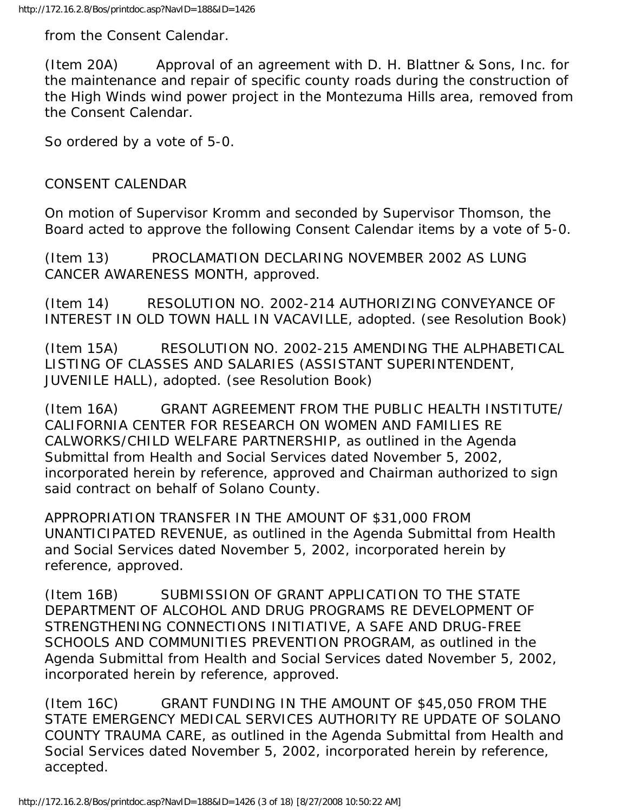from the Consent Calendar.

(Item 20A) Approval of an agreement with D. H. Blattner & Sons, Inc. for the maintenance and repair of specific county roads during the construction of the High Winds wind power project in the Montezuma Hills area, removed from the Consent Calendar.

So ordered by a vote of 5-0.

### CONSENT CALENDAR

On motion of Supervisor Kromm and seconded by Supervisor Thomson, the Board acted to approve the following Consent Calendar items by a vote of 5-0.

(Item 13) PROCLAMATION DECLARING NOVEMBER 2002 AS LUNG CANCER AWARENESS MONTH, approved.

(Item 14) RESOLUTION NO. 2002-214 AUTHORIZING CONVEYANCE OF INTEREST IN OLD TOWN HALL IN VACAVILLE, adopted. (see Resolution Book)

(Item 15A) RESOLUTION NO. 2002-215 AMENDING THE ALPHABETICAL LISTING OF CLASSES AND SALARIES (ASSISTANT SUPERINTENDENT, JUVENILE HALL), adopted. (see Resolution Book)

(Item 16A) GRANT AGREEMENT FROM THE PUBLIC HEALTH INSTITUTE/ CALIFORNIA CENTER FOR RESEARCH ON WOMEN AND FAMILIES RE CALWORKS/CHILD WELFARE PARTNERSHIP, as outlined in the Agenda Submittal from Health and Social Services dated November 5, 2002, incorporated herein by reference, approved and Chairman authorized to sign said contract on behalf of Solano County.

APPROPRIATION TRANSFER IN THE AMOUNT OF \$31,000 FROM UNANTICIPATED REVENUE, as outlined in the Agenda Submittal from Health and Social Services dated November 5, 2002, incorporated herein by reference, approved.

(Item 16B) SUBMISSION OF GRANT APPLICATION TO THE STATE DEPARTMENT OF ALCOHOL AND DRUG PROGRAMS RE DEVELOPMENT OF STRENGTHENING CONNECTIONS INITIATIVE, A SAFE AND DRUG-FREE SCHOOLS AND COMMUNITIES PREVENTION PROGRAM, as outlined in the Agenda Submittal from Health and Social Services dated November 5, 2002, incorporated herein by reference, approved.

(Item 16C) GRANT FUNDING IN THE AMOUNT OF \$45,050 FROM THE STATE EMERGENCY MEDICAL SERVICES AUTHORITY RE UPDATE OF SOLANO COUNTY TRAUMA CARE, as outlined in the Agenda Submittal from Health and Social Services dated November 5, 2002, incorporated herein by reference, accepted.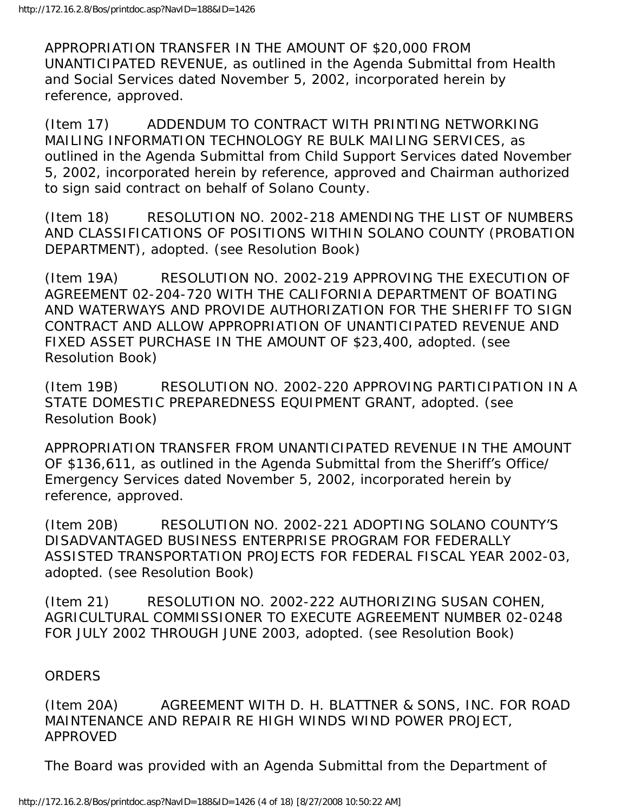APPROPRIATION TRANSFER IN THE AMOUNT OF \$20,000 FROM UNANTICIPATED REVENUE, as outlined in the Agenda Submittal from Health and Social Services dated November 5, 2002, incorporated herein by reference, approved.

(Item 17) ADDENDUM TO CONTRACT WITH PRINTING NETWORKING MAILING INFORMATION TECHNOLOGY RE BULK MAILING SERVICES, as outlined in the Agenda Submittal from Child Support Services dated November 5, 2002, incorporated herein by reference, approved and Chairman authorized to sign said contract on behalf of Solano County.

(Item 18) RESOLUTION NO. 2002-218 AMENDING THE LIST OF NUMBERS AND CLASSIFICATIONS OF POSITIONS WITHIN SOLANO COUNTY (PROBATION DEPARTMENT), adopted. (see Resolution Book)

(Item 19A) RESOLUTION NO. 2002-219 APPROVING THE EXECUTION OF AGREEMENT 02-204-720 WITH THE CALIFORNIA DEPARTMENT OF BOATING AND WATERWAYS AND PROVIDE AUTHORIZATION FOR THE SHERIFF TO SIGN CONTRACT AND ALLOW APPROPRIATION OF UNANTICIPATED REVENUE AND FIXED ASSET PURCHASE IN THE AMOUNT OF \$23,400, adopted. (see Resolution Book)

(Item 19B) RESOLUTION NO. 2002-220 APPROVING PARTICIPATION IN A STATE DOMESTIC PREPAREDNESS EQUIPMENT GRANT, adopted. (see Resolution Book)

APPROPRIATION TRANSFER FROM UNANTICIPATED REVENUE IN THE AMOUNT OF \$136,611, as outlined in the Agenda Submittal from the Sheriff's Office/ Emergency Services dated November 5, 2002, incorporated herein by reference, approved.

(Item 20B) RESOLUTION NO. 2002-221 ADOPTING SOLANO COUNTY'S DISADVANTAGED BUSINESS ENTERPRISE PROGRAM FOR FEDERALLY ASSISTED TRANSPORTATION PROJECTS FOR FEDERAL FISCAL YEAR 2002-03, adopted. (see Resolution Book)

(Item 21) RESOLUTION NO. 2002-222 AUTHORIZING SUSAN COHEN, AGRICULTURAL COMMISSIONER TO EXECUTE AGREEMENT NUMBER 02-0248 FOR JULY 2002 THROUGH JUNE 2003, adopted. (see Resolution Book)

#### **ORDERS**

(Item 20A) AGREEMENT WITH D. H. BLATTNER & SONS, INC. FOR ROAD MAINTENANCE AND REPAIR RE HIGH WINDS WIND POWER PROJECT, APPROVED

The Board was provided with an Agenda Submittal from the Department of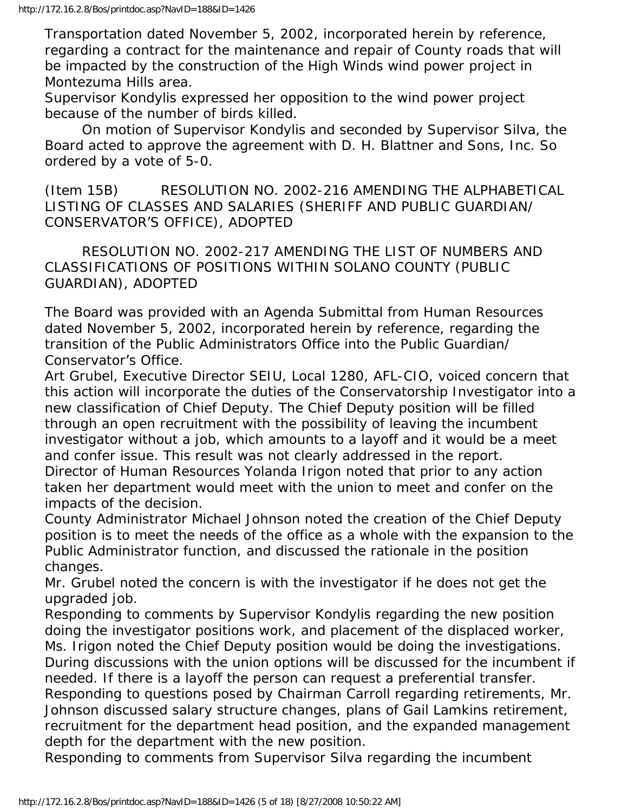Transportation dated November 5, 2002, incorporated herein by reference, regarding a contract for the maintenance and repair of County roads that will be impacted by the construction of the High Winds wind power project in Montezuma Hills area.

Supervisor Kondylis expressed her opposition to the wind power project because of the number of birds killed.

 On motion of Supervisor Kondylis and seconded by Supervisor Silva, the Board acted to approve the agreement with D. H. Blattner and Sons, Inc. So ordered by a vote of 5-0.

(Item 15B) RESOLUTION NO. 2002-216 AMENDING THE ALPHABETICAL LISTING OF CLASSES AND SALARIES (SHERIFF AND PUBLIC GUARDIAN/ CONSERVATOR'S OFFICE), ADOPTED

 RESOLUTION NO. 2002-217 AMENDING THE LIST OF NUMBERS AND CLASSIFICATIONS OF POSITIONS WITHIN SOLANO COUNTY (PUBLIC GUARDIAN), ADOPTED

The Board was provided with an Agenda Submittal from Human Resources dated November 5, 2002, incorporated herein by reference, regarding the transition of the Public Administrators Office into the Public Guardian/ Conservator's Office.

Art Grubel, Executive Director SEIU, Local 1280, AFL-CIO, voiced concern that this action will incorporate the duties of the Conservatorship Investigator into a new classification of Chief Deputy. The Chief Deputy position will be filled through an open recruitment with the possibility of leaving the incumbent investigator without a job, which amounts to a layoff and it would be a meet and confer issue. This result was not clearly addressed in the report. Director of Human Resources Yolanda Irigon noted that prior to any action

taken her department would meet with the union to meet and confer on the impacts of the decision.

County Administrator Michael Johnson noted the creation of the Chief Deputy position is to meet the needs of the office as a whole with the expansion to the Public Administrator function, and discussed the rationale in the position changes.

Mr. Grubel noted the concern is with the investigator if he does not get the upgraded job.

Responding to comments by Supervisor Kondylis regarding the new position doing the investigator positions work, and placement of the displaced worker, Ms. Irigon noted the Chief Deputy position would be doing the investigations. During discussions with the union options will be discussed for the incumbent if needed. If there is a layoff the person can request a preferential transfer. Responding to questions posed by Chairman Carroll regarding retirements, Mr. Johnson discussed salary structure changes, plans of Gail Lamkins retirement, recruitment for the department head position, and the expanded management depth for the department with the new position.

Responding to comments from Supervisor Silva regarding the incumbent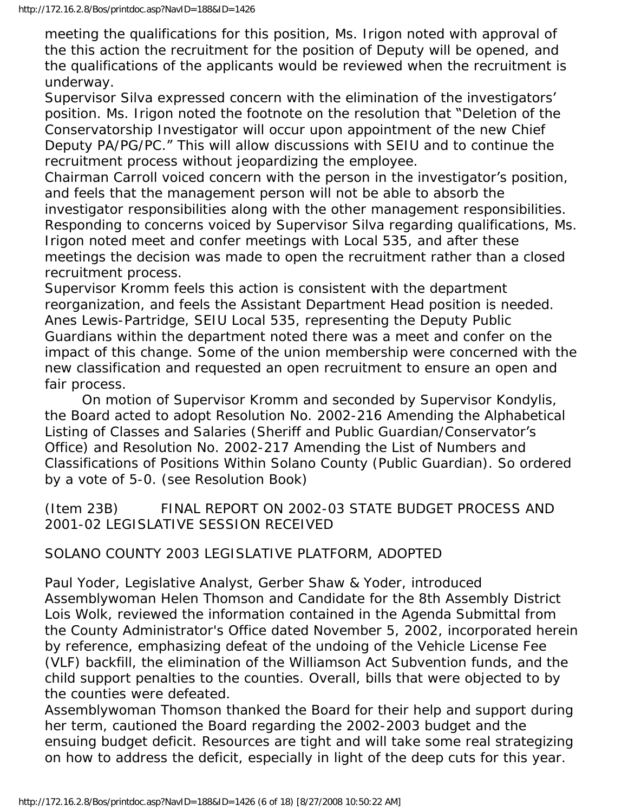meeting the qualifications for this position, Ms. Irigon noted with approval of the this action the recruitment for the position of Deputy will be opened, and the qualifications of the applicants would be reviewed when the recruitment is underway.

Supervisor Silva expressed concern with the elimination of the investigators' position. Ms. Irigon noted the footnote on the resolution that "Deletion of the Conservatorship Investigator will occur upon appointment of the new Chief Deputy PA/PG/PC." This will allow discussions with SEIU and to continue the recruitment process without jeopardizing the employee.

Chairman Carroll voiced concern with the person in the investigator's position, and feels that the management person will not be able to absorb the investigator responsibilities along with the other management responsibilities. Responding to concerns voiced by Supervisor Silva regarding qualifications, Ms. Irigon noted meet and confer meetings with Local 535, and after these meetings the decision was made to open the recruitment rather than a closed recruitment process.

Supervisor Kromm feels this action is consistent with the department reorganization, and feels the Assistant Department Head position is needed. Anes Lewis-Partridge, SEIU Local 535, representing the Deputy Public Guardians within the department noted there was a meet and confer on the impact of this change. Some of the union membership were concerned with the new classification and requested an open recruitment to ensure an open and fair process.

 On motion of Supervisor Kromm and seconded by Supervisor Kondylis, the Board acted to adopt Resolution No. 2002-216 Amending the Alphabetical Listing of Classes and Salaries (Sheriff and Public Guardian/Conservator's Office) and Resolution No. 2002-217 Amending the List of Numbers and Classifications of Positions Within Solano County (Public Guardian). So ordered by a vote of 5-0. (see Resolution Book)

(Item 23B) FINAL REPORT ON 2002-03 STATE BUDGET PROCESS AND 2001-02 LEGISLATIVE SESSION RECEIVED

# SOLANO COUNTY 2003 LEGISLATIVE PLATFORM, ADOPTED

Paul Yoder, Legislative Analyst, Gerber Shaw & Yoder, introduced Assemblywoman Helen Thomson and Candidate for the 8th Assembly District Lois Wolk, reviewed the information contained in the Agenda Submittal from the County Administrator's Office dated November 5, 2002, incorporated herein by reference, emphasizing defeat of the undoing of the Vehicle License Fee (VLF) backfill, the elimination of the Williamson Act Subvention funds, and the child support penalties to the counties. Overall, bills that were objected to by the counties were defeated.

Assemblywoman Thomson thanked the Board for their help and support during her term, cautioned the Board regarding the 2002-2003 budget and the ensuing budget deficit. Resources are tight and will take some real strategizing on how to address the deficit, especially in light of the deep cuts for this year.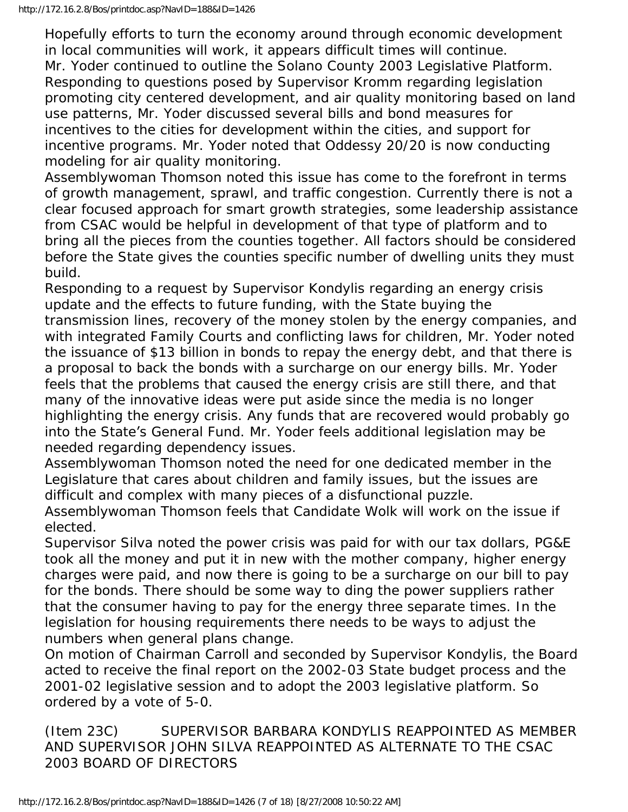Hopefully efforts to turn the economy around through economic development in local communities will work, it appears difficult times will continue. Mr. Yoder continued to outline the Solano County 2003 Legislative Platform. Responding to questions posed by Supervisor Kromm regarding legislation promoting city centered development, and air quality monitoring based on land use patterns, Mr. Yoder discussed several bills and bond measures for incentives to the cities for development within the cities, and support for incentive programs. Mr. Yoder noted that Oddessy 20/20 is now conducting modeling for air quality monitoring.

Assemblywoman Thomson noted this issue has come to the forefront in terms of growth management, sprawl, and traffic congestion. Currently there is not a clear focused approach for smart growth strategies, some leadership assistance from CSAC would be helpful in development of that type of platform and to bring all the pieces from the counties together. All factors should be considered before the State gives the counties specific number of dwelling units they must build.

Responding to a request by Supervisor Kondylis regarding an energy crisis update and the effects to future funding, with the State buying the transmission lines, recovery of the money stolen by the energy companies, and with integrated Family Courts and conflicting laws for children, Mr. Yoder noted the issuance of \$13 billion in bonds to repay the energy debt, and that there is a proposal to back the bonds with a surcharge on our energy bills. Mr. Yoder feels that the problems that caused the energy crisis are still there, and that many of the innovative ideas were put aside since the media is no longer highlighting the energy crisis. Any funds that are recovered would probably go into the State's General Fund. Mr. Yoder feels additional legislation may be needed regarding dependency issues.

Assemblywoman Thomson noted the need for one dedicated member in the Legislature that cares about children and family issues, but the issues are difficult and complex with many pieces of a disfunctional puzzle.

Assemblywoman Thomson feels that Candidate Wolk will work on the issue if elected.

Supervisor Silva noted the power crisis was paid for with our tax dollars, PG&E took all the money and put it in new with the mother company, higher energy charges were paid, and now there is going to be a surcharge on our bill to pay for the bonds. There should be some way to ding the power suppliers rather that the consumer having to pay for the energy three separate times. In the legislation for housing requirements there needs to be ways to adjust the numbers when general plans change.

On motion of Chairman Carroll and seconded by Supervisor Kondylis, the Board acted to receive the final report on the 2002-03 State budget process and the 2001-02 legislative session and to adopt the 2003 legislative platform. So ordered by a vote of 5-0.

(Item 23C) SUPERVISOR BARBARA KONDYLIS REAPPOINTED AS MEMBER AND SUPERVISOR JOHN SILVA REAPPOINTED AS ALTERNATE TO THE CSAC 2003 BOARD OF DIRECTORS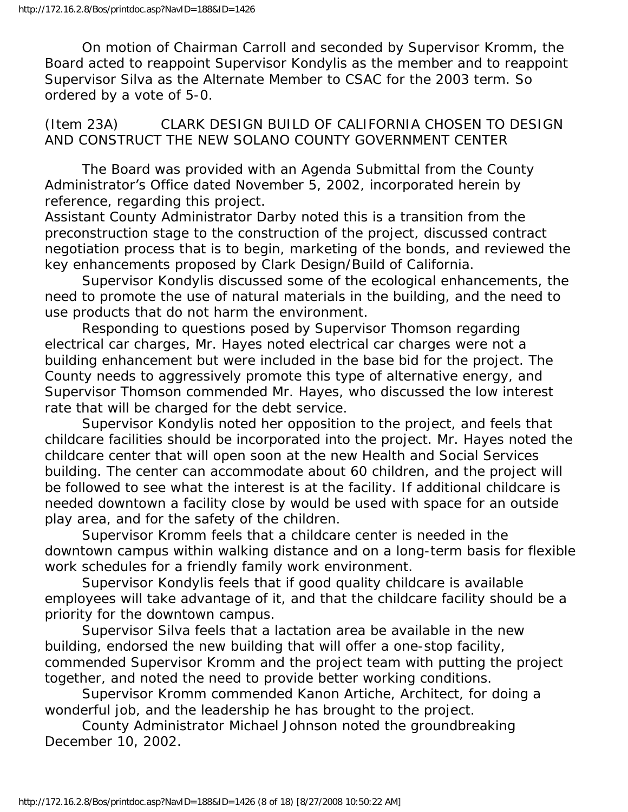On motion of Chairman Carroll and seconded by Supervisor Kromm, the Board acted to reappoint Supervisor Kondylis as the member and to reappoint Supervisor Silva as the Alternate Member to CSAC for the 2003 term. So ordered by a vote of 5-0.

(Item 23A) CLARK DESIGN BUILD OF CALIFORNIA CHOSEN TO DESIGN AND CONSTRUCT THE NEW SOLANO COUNTY GOVERNMENT CENTER

 The Board was provided with an Agenda Submittal from the County Administrator's Office dated November 5, 2002, incorporated herein by reference, regarding this project.

Assistant County Administrator Darby noted this is a transition from the preconstruction stage to the construction of the project, discussed contract negotiation process that is to begin, marketing of the bonds, and reviewed the key enhancements proposed by Clark Design/Build of California.

 Supervisor Kondylis discussed some of the ecological enhancements, the need to promote the use of natural materials in the building, and the need to use products that do not harm the environment.

 Responding to questions posed by Supervisor Thomson regarding electrical car charges, Mr. Hayes noted electrical car charges were not a building enhancement but were included in the base bid for the project. The County needs to aggressively promote this type of alternative energy, and Supervisor Thomson commended Mr. Hayes, who discussed the low interest rate that will be charged for the debt service.

 Supervisor Kondylis noted her opposition to the project, and feels that childcare facilities should be incorporated into the project. Mr. Hayes noted the childcare center that will open soon at the new Health and Social Services building. The center can accommodate about 60 children, and the project will be followed to see what the interest is at the facility. If additional childcare is needed downtown a facility close by would be used with space for an outside play area, and for the safety of the children.

 Supervisor Kromm feels that a childcare center is needed in the downtown campus within walking distance and on a long-term basis for flexible work schedules for a friendly family work environment.

 Supervisor Kondylis feels that if good quality childcare is available employees will take advantage of it, and that the childcare facility should be a priority for the downtown campus.

 Supervisor Silva feels that a lactation area be available in the new building, endorsed the new building that will offer a one-stop facility, commended Supervisor Kromm and the project team with putting the project together, and noted the need to provide better working conditions.

 Supervisor Kromm commended Kanon Artiche, Architect, for doing a wonderful job, and the leadership he has brought to the project.

 County Administrator Michael Johnson noted the groundbreaking December 10, 2002.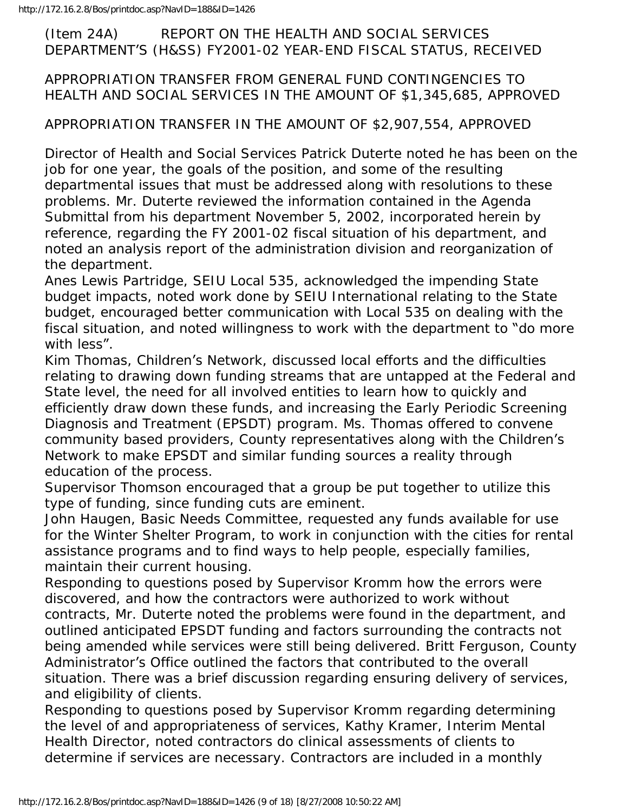#### (Item 24A) REPORT ON THE HEALTH AND SOCIAL SERVICES DEPARTMENT'S (H&SS) FY2001-02 YEAR-END FISCAL STATUS, RECEIVED

### APPROPRIATION TRANSFER FROM GENERAL FUND CONTINGENCIES TO HEALTH AND SOCIAL SERVICES IN THE AMOUNT OF \$1,345,685, APPROVED

#### APPROPRIATION TRANSFER IN THE AMOUNT OF \$2,907,554, APPROVED

Director of Health and Social Services Patrick Duterte noted he has been on the job for one year, the goals of the position, and some of the resulting departmental issues that must be addressed along with resolutions to these problems. Mr. Duterte reviewed the information contained in the Agenda Submittal from his department November 5, 2002, incorporated herein by reference, regarding the FY 2001-02 fiscal situation of his department, and noted an analysis report of the administration division and reorganization of the department.

Anes Lewis Partridge, SEIU Local 535, acknowledged the impending State budget impacts, noted work done by SEIU International relating to the State budget, encouraged better communication with Local 535 on dealing with the fiscal situation, and noted willingness to work with the department to "do more with less".

Kim Thomas, Children's Network, discussed local efforts and the difficulties relating to drawing down funding streams that are untapped at the Federal and State level, the need for all involved entities to learn how to quickly and efficiently draw down these funds, and increasing the Early Periodic Screening Diagnosis and Treatment (EPSDT) program. Ms. Thomas offered to convene community based providers, County representatives along with the Children's Network to make EPSDT and similar funding sources a reality through education of the process.

Supervisor Thomson encouraged that a group be put together to utilize this type of funding, since funding cuts are eminent.

John Haugen, Basic Needs Committee, requested any funds available for use for the Winter Shelter Program, to work in conjunction with the cities for rental assistance programs and to find ways to help people, especially families, maintain their current housing.

Responding to questions posed by Supervisor Kromm how the errors were discovered, and how the contractors were authorized to work without contracts, Mr. Duterte noted the problems were found in the department, and outlined anticipated EPSDT funding and factors surrounding the contracts not being amended while services were still being delivered. Britt Ferguson, County Administrator's Office outlined the factors that contributed to the overall situation. There was a brief discussion regarding ensuring delivery of services, and eligibility of clients.

Responding to questions posed by Supervisor Kromm regarding determining the level of and appropriateness of services, Kathy Kramer, Interim Mental Health Director, noted contractors do clinical assessments of clients to determine if services are necessary. Contractors are included in a monthly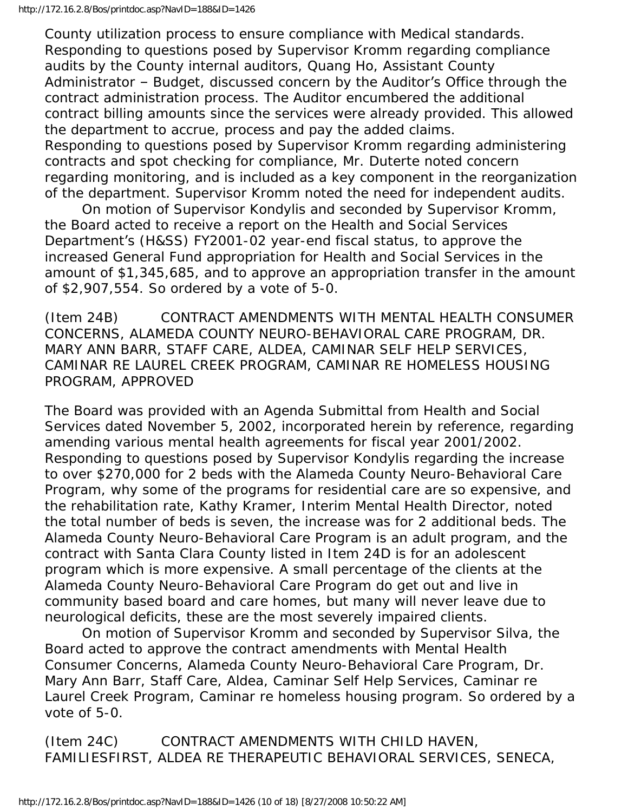County utilization process to ensure compliance with Medical standards. Responding to questions posed by Supervisor Kromm regarding compliance audits by the County internal auditors, Quang Ho, Assistant County Administrator – Budget, discussed concern by the Auditor's Office through the contract administration process. The Auditor encumbered the additional contract billing amounts since the services were already provided. This allowed the department to accrue, process and pay the added claims. Responding to questions posed by Supervisor Kromm regarding administering contracts and spot checking for compliance, Mr. Duterte noted concern regarding monitoring, and is included as a key component in the reorganization of the department. Supervisor Kromm noted the need for independent audits.

 On motion of Supervisor Kondylis and seconded by Supervisor Kromm, the Board acted to receive a report on the Health and Social Services Department's (H&SS) FY2001-02 year-end fiscal status, to approve the increased General Fund appropriation for Health and Social Services in the amount of \$1,345,685, and to approve an appropriation transfer in the amount of \$2,907,554. So ordered by a vote of 5-0.

(Item 24B) CONTRACT AMENDMENTS WITH MENTAL HEALTH CONSUMER CONCERNS, ALAMEDA COUNTY NEURO-BEHAVIORAL CARE PROGRAM, DR. MARY ANN BARR, STAFF CARE, ALDEA, CAMINAR SELF HELP SERVICES, CAMINAR RE LAUREL CREEK PROGRAM, CAMINAR RE HOMELESS HOUSING PROGRAM, APPROVED

The Board was provided with an Agenda Submittal from Health and Social Services dated November 5, 2002, incorporated herein by reference, regarding amending various mental health agreements for fiscal year 2001/2002. Responding to questions posed by Supervisor Kondylis regarding the increase to over \$270,000 for 2 beds with the Alameda County Neuro-Behavioral Care Program, why some of the programs for residential care are so expensive, and the rehabilitation rate, Kathy Kramer, Interim Mental Health Director, noted the total number of beds is seven, the increase was for 2 additional beds. The Alameda County Neuro-Behavioral Care Program is an adult program, and the contract with Santa Clara County listed in Item 24D is for an adolescent program which is more expensive. A small percentage of the clients at the Alameda County Neuro-Behavioral Care Program do get out and live in community based board and care homes, but many will never leave due to neurological deficits, these are the most severely impaired clients.

 On motion of Supervisor Kromm and seconded by Supervisor Silva, the Board acted to approve the contract amendments with Mental Health Consumer Concerns, Alameda County Neuro-Behavioral Care Program, Dr. Mary Ann Barr, Staff Care, Aldea, Caminar Self Help Services, Caminar re Laurel Creek Program, Caminar re homeless housing program. So ordered by a vote of 5-0.

(Item 24C) CONTRACT AMENDMENTS WITH CHILD HAVEN, FAMILIESFIRST, ALDEA RE THERAPEUTIC BEHAVIORAL SERVICES, SENECA,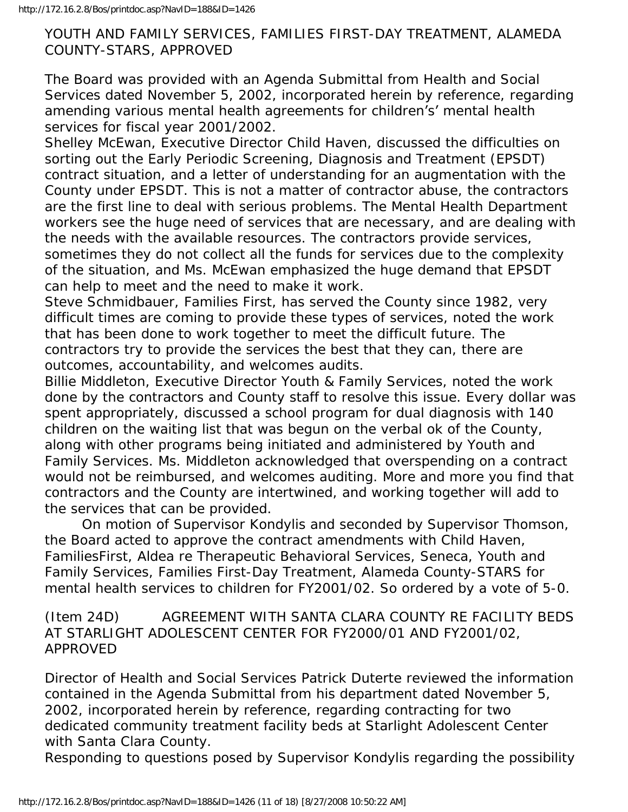#### YOUTH AND FAMILY SERVICES, FAMILIES FIRST-DAY TREATMENT, ALAMEDA COUNTY-STARS, APPROVED

The Board was provided with an Agenda Submittal from Health and Social Services dated November 5, 2002, incorporated herein by reference, regarding amending various mental health agreements for children's' mental health services for fiscal year 2001/2002.

Shelley McEwan, Executive Director Child Haven, discussed the difficulties on sorting out the Early Periodic Screening, Diagnosis and Treatment (EPSDT) contract situation, and a letter of understanding for an augmentation with the County under EPSDT. This is not a matter of contractor abuse, the contractors are the first line to deal with serious problems. The Mental Health Department workers see the huge need of services that are necessary, and are dealing with the needs with the available resources. The contractors provide services, sometimes they do not collect all the funds for services due to the complexity of the situation, and Ms. McEwan emphasized the huge demand that EPSDT can help to meet and the need to make it work.

Steve Schmidbauer, Families First, has served the County since 1982, very difficult times are coming to provide these types of services, noted the work that has been done to work together to meet the difficult future. The contractors try to provide the services the best that they can, there are outcomes, accountability, and welcomes audits.

Billie Middleton, Executive Director Youth & Family Services, noted the work done by the contractors and County staff to resolve this issue. Every dollar was spent appropriately, discussed a school program for dual diagnosis with 140 children on the waiting list that was begun on the verbal ok of the County, along with other programs being initiated and administered by Youth and Family Services. Ms. Middleton acknowledged that overspending on a contract would not be reimbursed, and welcomes auditing. More and more you find that contractors and the County are intertwined, and working together will add to the services that can be provided.

 On motion of Supervisor Kondylis and seconded by Supervisor Thomson, the Board acted to approve the contract amendments with Child Haven, FamiliesFirst, Aldea re Therapeutic Behavioral Services, Seneca, Youth and Family Services, Families First-Day Treatment, Alameda County-STARS for mental health services to children for FY2001/02. So ordered by a vote of 5-0.

(Item 24D) AGREEMENT WITH SANTA CLARA COUNTY RE FACILITY BEDS AT STARLIGHT ADOLESCENT CENTER FOR FY2000/01 AND FY2001/02, APPROVED

Director of Health and Social Services Patrick Duterte reviewed the information contained in the Agenda Submittal from his department dated November 5, 2002, incorporated herein by reference, regarding contracting for two dedicated community treatment facility beds at Starlight Adolescent Center with Santa Clara County.

Responding to questions posed by Supervisor Kondylis regarding the possibility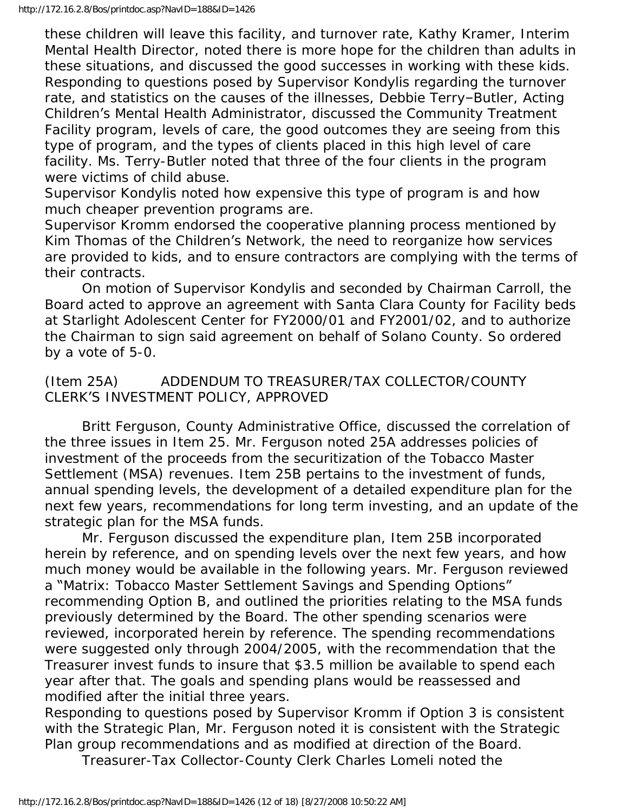these children will leave this facility, and turnover rate, Kathy Kramer, Interim Mental Health Director, noted there is more hope for the children than adults in these situations, and discussed the good successes in working with these kids. Responding to questions posed by Supervisor Kondylis regarding the turnover rate, and statistics on the causes of the illnesses, Debbie Terry–Butler, Acting Children's Mental Health Administrator, discussed the Community Treatment Facility program, levels of care, the good outcomes they are seeing from this type of program, and the types of clients placed in this high level of care facility. Ms. Terry-Butler noted that three of the four clients in the program were victims of child abuse.

Supervisor Kondylis noted how expensive this type of program is and how much cheaper prevention programs are.

Supervisor Kromm endorsed the cooperative planning process mentioned by Kim Thomas of the Children's Network, the need to reorganize how services are provided to kids, and to ensure contractors are complying with the terms of their contracts.

 On motion of Supervisor Kondylis and seconded by Chairman Carroll, the Board acted to approve an agreement with Santa Clara County for Facility beds at Starlight Adolescent Center for FY2000/01 and FY2001/02, and to authorize the Chairman to sign said agreement on behalf of Solano County. So ordered by a vote of 5-0.

(Item 25A) ADDENDUM TO TREASURER/TAX COLLECTOR/COUNTY CLERK'S INVESTMENT POLICY, APPROVED

 Britt Ferguson, County Administrative Office, discussed the correlation of the three issues in Item 25. Mr. Ferguson noted 25A addresses policies of investment of the proceeds from the securitization of the Tobacco Master Settlement (MSA) revenues. Item 25B pertains to the investment of funds, annual spending levels, the development of a detailed expenditure plan for the next few years, recommendations for long term investing, and an update of the strategic plan for the MSA funds.

 Mr. Ferguson discussed the expenditure plan, Item 25B incorporated herein by reference, and on spending levels over the next few years, and how much money would be available in the following years. Mr. Ferguson reviewed a "Matrix: Tobacco Master Settlement Savings and Spending Options" recommending Option B, and outlined the priorities relating to the MSA funds previously determined by the Board. The other spending scenarios were reviewed, incorporated herein by reference. The spending recommendations were suggested only through 2004/2005, with the recommendation that the Treasurer invest funds to insure that \$3.5 million be available to spend each year after that. The goals and spending plans would be reassessed and modified after the initial three years.

Responding to questions posed by Supervisor Kromm if Option 3 is consistent with the Strategic Plan, Mr. Ferguson noted it is consistent with the Strategic Plan group recommendations and as modified at direction of the Board.

Treasurer-Tax Collector-County Clerk Charles Lomeli noted the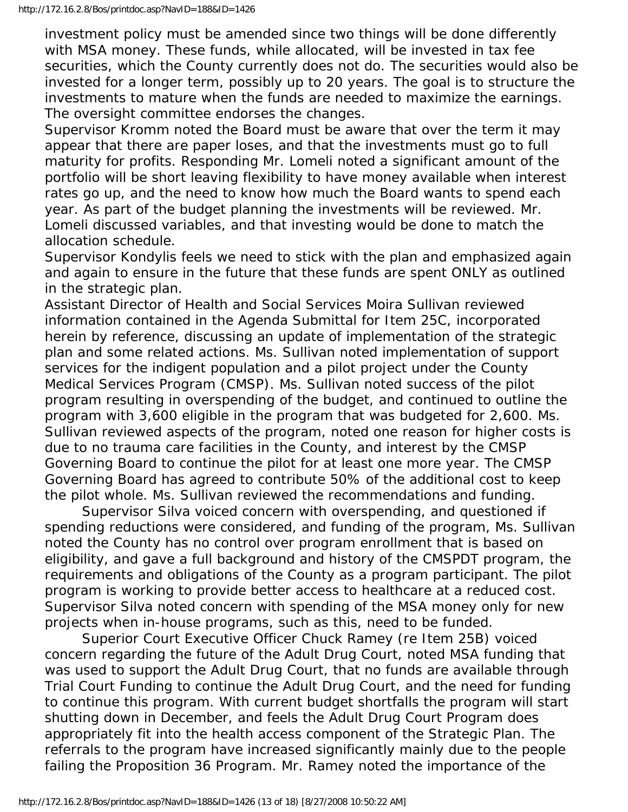investment policy must be amended since two things will be done differently with MSA money. These funds, while allocated, will be invested in tax fee securities, which the County currently does not do. The securities would also be invested for a longer term, possibly up to 20 years. The goal is to structure the investments to mature when the funds are needed to maximize the earnings. The oversight committee endorses the changes.

Supervisor Kromm noted the Board must be aware that over the term it may appear that there are paper loses, and that the investments must go to full maturity for profits. Responding Mr. Lomeli noted a significant amount of the portfolio will be short leaving flexibility to have money available when interest rates go up, and the need to know how much the Board wants to spend each year. As part of the budget planning the investments will be reviewed. Mr. Lomeli discussed variables, and that investing would be done to match the allocation schedule.

Supervisor Kondylis feels we need to stick with the plan and emphasized again and again to ensure in the future that these funds are spent ONLY as outlined in the strategic plan.

Assistant Director of Health and Social Services Moira Sullivan reviewed information contained in the Agenda Submittal for Item 25C, incorporated herein by reference, discussing an update of implementation of the strategic plan and some related actions. Ms. Sullivan noted implementation of support services for the indigent population and a pilot project under the County Medical Services Program (CMSP). Ms. Sullivan noted success of the pilot program resulting in overspending of the budget, and continued to outline the program with 3,600 eligible in the program that was budgeted for 2,600. Ms. Sullivan reviewed aspects of the program, noted one reason for higher costs is due to no trauma care facilities in the County, and interest by the CMSP Governing Board to continue the pilot for at least one more year. The CMSP Governing Board has agreed to contribute 50% of the additional cost to keep the pilot whole. Ms. Sullivan reviewed the recommendations and funding.

 Supervisor Silva voiced concern with overspending, and questioned if spending reductions were considered, and funding of the program, Ms. Sullivan noted the County has no control over program enrollment that is based on eligibility, and gave a full background and history of the CMSPDT program, the requirements and obligations of the County as a program participant. The pilot program is working to provide better access to healthcare at a reduced cost. Supervisor Silva noted concern with spending of the MSA money only for new projects when in-house programs, such as this, need to be funded.

 Superior Court Executive Officer Chuck Ramey (re Item 25B) voiced concern regarding the future of the Adult Drug Court, noted MSA funding that was used to support the Adult Drug Court, that no funds are available through Trial Court Funding to continue the Adult Drug Court, and the need for funding to continue this program. With current budget shortfalls the program will start shutting down in December, and feels the Adult Drug Court Program does appropriately fit into the health access component of the Strategic Plan. The referrals to the program have increased significantly mainly due to the people failing the Proposition 36 Program. Mr. Ramey noted the importance of the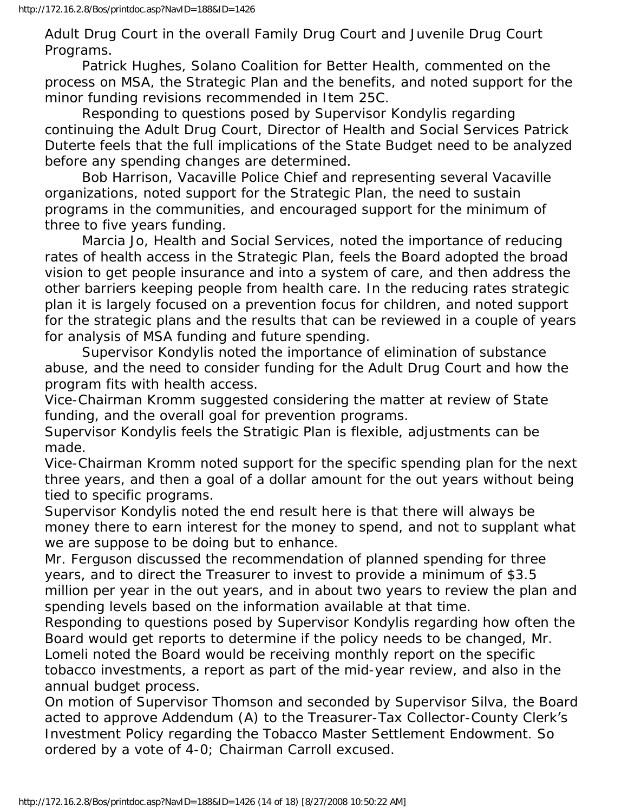Adult Drug Court in the overall Family Drug Court and Juvenile Drug Court Programs.

 Patrick Hughes, Solano Coalition for Better Health, commented on the process on MSA, the Strategic Plan and the benefits, and noted support for the minor funding revisions recommended in Item 25C.

 Responding to questions posed by Supervisor Kondylis regarding continuing the Adult Drug Court, Director of Health and Social Services Patrick Duterte feels that the full implications of the State Budget need to be analyzed before any spending changes are determined.

 Bob Harrison, Vacaville Police Chief and representing several Vacaville organizations, noted support for the Strategic Plan, the need to sustain programs in the communities, and encouraged support for the minimum of three to five years funding.

 Marcia Jo, Health and Social Services, noted the importance of reducing rates of health access in the Strategic Plan, feels the Board adopted the broad vision to get people insurance and into a system of care, and then address the other barriers keeping people from health care. In the reducing rates strategic plan it is largely focused on a prevention focus for children, and noted support for the strategic plans and the results that can be reviewed in a couple of years for analysis of MSA funding and future spending.

 Supervisor Kondylis noted the importance of elimination of substance abuse, and the need to consider funding for the Adult Drug Court and how the program fits with health access.

Vice-Chairman Kromm suggested considering the matter at review of State funding, and the overall goal for prevention programs.

Supervisor Kondylis feels the Stratigic Plan is flexible, adjustments can be made.

Vice-Chairman Kromm noted support for the specific spending plan for the next three years, and then a goal of a dollar amount for the out years without being tied to specific programs.

Supervisor Kondylis noted the end result here is that there will always be money there to earn interest for the money to spend, and not to supplant what we are suppose to be doing but to enhance.

Mr. Ferguson discussed the recommendation of planned spending for three years, and to direct the Treasurer to invest to provide a minimum of \$3.5 million per year in the out years, and in about two years to review the plan and spending levels based on the information available at that time.

Responding to questions posed by Supervisor Kondylis regarding how often the Board would get reports to determine if the policy needs to be changed, Mr. Lomeli noted the Board would be receiving monthly report on the specific tobacco investments, a report as part of the mid-year review, and also in the annual budget process.

On motion of Supervisor Thomson and seconded by Supervisor Silva, the Board acted to approve Addendum (A) to the Treasurer-Tax Collector-County Clerk's Investment Policy regarding the Tobacco Master Settlement Endowment. So ordered by a vote of 4-0; Chairman Carroll excused.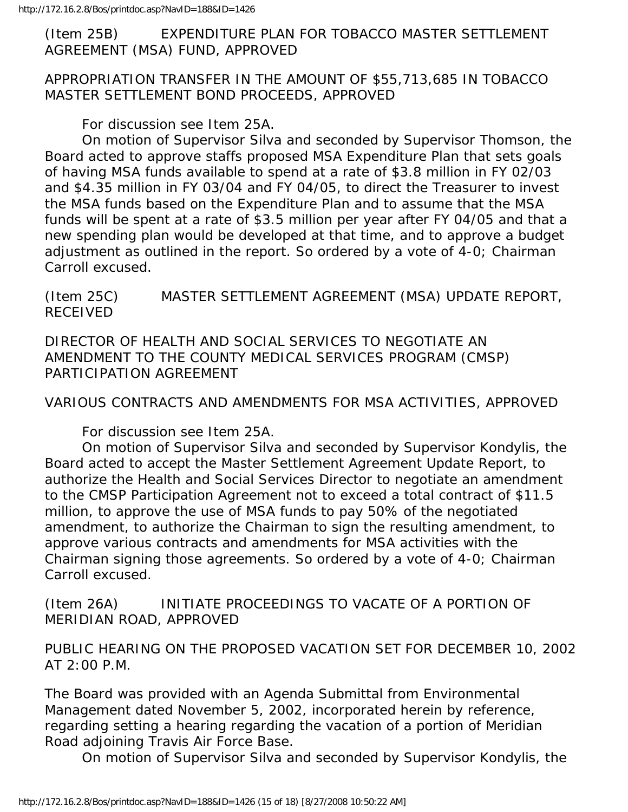(Item 25B) EXPENDITURE PLAN FOR TOBACCO MASTER SETTLEMENT AGREEMENT (MSA) FUND, APPROVED

APPROPRIATION TRANSFER IN THE AMOUNT OF \$55,713,685 IN TOBACCO MASTER SETTLEMENT BOND PROCEEDS, APPROVED

For discussion see Item 25A.

 On motion of Supervisor Silva and seconded by Supervisor Thomson, the Board acted to approve staffs proposed MSA Expenditure Plan that sets goals of having MSA funds available to spend at a rate of \$3.8 million in FY 02/03 and \$4.35 million in FY 03/04 and FY 04/05, to direct the Treasurer to invest the MSA funds based on the Expenditure Plan and to assume that the MSA funds will be spent at a rate of \$3.5 million per year after FY 04/05 and that a new spending plan would be developed at that time, and to approve a budget adjustment as outlined in the report. So ordered by a vote of 4-0; Chairman Carroll excused.

(Item 25C) MASTER SETTLEMENT AGREEMENT (MSA) UPDATE REPORT, RECEIVED

DIRECTOR OF HEALTH AND SOCIAL SERVICES TO NEGOTIATE AN AMENDMENT TO THE COUNTY MEDICAL SERVICES PROGRAM (CMSP) PARTICIPATION AGREEMENT

VARIOUS CONTRACTS AND AMENDMENTS FOR MSA ACTIVITIES, APPROVED

For discussion see Item 25A.

 On motion of Supervisor Silva and seconded by Supervisor Kondylis, the Board acted to accept the Master Settlement Agreement Update Report, to authorize the Health and Social Services Director to negotiate an amendment to the CMSP Participation Agreement not to exceed a total contract of \$11.5 million, to approve the use of MSA funds to pay 50% of the negotiated amendment, to authorize the Chairman to sign the resulting amendment, to approve various contracts and amendments for MSA activities with the Chairman signing those agreements. So ordered by a vote of 4-0; Chairman Carroll excused.

(Item 26A) INITIATE PROCEEDINGS TO VACATE OF A PORTION OF MERIDIAN ROAD, APPROVED

PUBLIC HEARING ON THE PROPOSED VACATION SET FOR DECEMBER 10, 2002 AT 2:00 P.M.

The Board was provided with an Agenda Submittal from Environmental Management dated November 5, 2002, incorporated herein by reference, regarding setting a hearing regarding the vacation of a portion of Meridian Road adjoining Travis Air Force Base.

On motion of Supervisor Silva and seconded by Supervisor Kondylis, the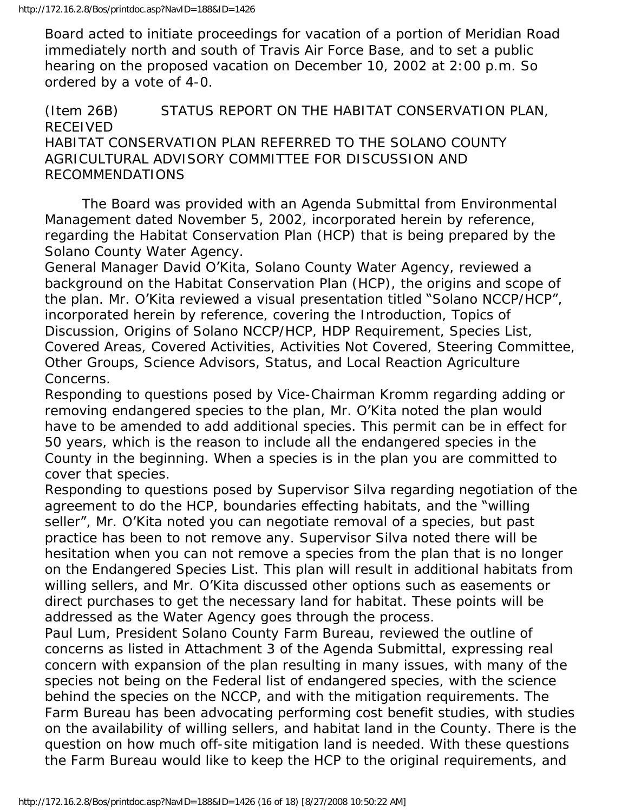Board acted to initiate proceedings for vacation of a portion of Meridian Road immediately north and south of Travis Air Force Base, and to set a public hearing on the proposed vacation on December 10, 2002 at 2:00 p.m. So ordered by a vote of 4-0.

#### (Item 26B) STATUS REPORT ON THE HABITAT CONSERVATION PLAN, RECEIVED HABITAT CONSERVATION PLAN REFERRED TO THE SOLANO COUNTY AGRICULTURAL ADVISORY COMMITTEE FOR DISCUSSION AND RECOMMENDATIONS

 The Board was provided with an Agenda Submittal from Environmental Management dated November 5, 2002, incorporated herein by reference, regarding the Habitat Conservation Plan (HCP) that is being prepared by the Solano County Water Agency.

General Manager David O'Kita, Solano County Water Agency, reviewed a background on the Habitat Conservation Plan (HCP), the origins and scope of the plan. Mr. O'Kita reviewed a visual presentation titled "Solano NCCP/HCP", incorporated herein by reference, covering the Introduction, Topics of Discussion, Origins of Solano NCCP/HCP, HDP Requirement, Species List, Covered Areas, Covered Activities, Activities Not Covered, Steering Committee, Other Groups, Science Advisors, Status, and Local Reaction Agriculture Concerns.

Responding to questions posed by Vice-Chairman Kromm regarding adding or removing endangered species to the plan, Mr. O'Kita noted the plan would have to be amended to add additional species. This permit can be in effect for 50 years, which is the reason to include all the endangered species in the County in the beginning. When a species is in the plan you are committed to cover that species.

Responding to questions posed by Supervisor Silva regarding negotiation of the agreement to do the HCP, boundaries effecting habitats, and the "willing seller", Mr. O'Kita noted you can negotiate removal of a species, but past practice has been to not remove any. Supervisor Silva noted there will be hesitation when you can not remove a species from the plan that is no longer on the Endangered Species List. This plan will result in additional habitats from willing sellers, and Mr. O'Kita discussed other options such as easements or direct purchases to get the necessary land for habitat. These points will be addressed as the Water Agency goes through the process.

Paul Lum, President Solano County Farm Bureau, reviewed the outline of concerns as listed in Attachment 3 of the Agenda Submittal, expressing real concern with expansion of the plan resulting in many issues, with many of the species not being on the Federal list of endangered species, with the science behind the species on the NCCP, and with the mitigation requirements. The Farm Bureau has been advocating performing cost benefit studies, with studies on the availability of willing sellers, and habitat land in the County. There is the question on how much off-site mitigation land is needed. With these questions the Farm Bureau would like to keep the HCP to the original requirements, and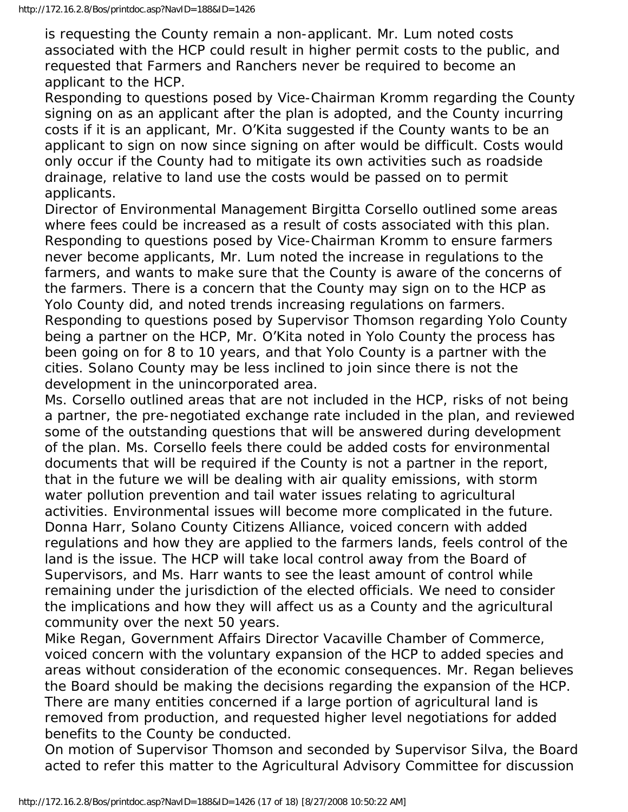is requesting the County remain a non-applicant. Mr. Lum noted costs associated with the HCP could result in higher permit costs to the public, and requested that Farmers and Ranchers never be required to become an applicant to the HCP.

Responding to questions posed by Vice-Chairman Kromm regarding the County signing on as an applicant after the plan is adopted, and the County incurring costs if it is an applicant, Mr. O'Kita suggested if the County wants to be an applicant to sign on now since signing on after would be difficult. Costs would only occur if the County had to mitigate its own activities such as roadside drainage, relative to land use the costs would be passed on to permit applicants.

Director of Environmental Management Birgitta Corsello outlined some areas where fees could be increased as a result of costs associated with this plan. Responding to questions posed by Vice-Chairman Kromm to ensure farmers never become applicants, Mr. Lum noted the increase in regulations to the farmers, and wants to make sure that the County is aware of the concerns of the farmers. There is a concern that the County may sign on to the HCP as Yolo County did, and noted trends increasing regulations on farmers. Responding to questions posed by Supervisor Thomson regarding Yolo County being a partner on the HCP, Mr. O'Kita noted in Yolo County the process has been going on for 8 to 10 years, and that Yolo County is a partner with the cities. Solano County may be less inclined to join since there is not the development in the unincorporated area.

Ms. Corsello outlined areas that are not included in the HCP, risks of not being a partner, the pre-negotiated exchange rate included in the plan, and reviewed some of the outstanding questions that will be answered during development of the plan. Ms. Corsello feels there could be added costs for environmental documents that will be required if the County is not a partner in the report, that in the future we will be dealing with air quality emissions, with storm water pollution prevention and tail water issues relating to agricultural activities. Environmental issues will become more complicated in the future. Donna Harr, Solano County Citizens Alliance, voiced concern with added regulations and how they are applied to the farmers lands, feels control of the land is the issue. The HCP will take local control away from the Board of Supervisors, and Ms. Harr wants to see the least amount of control while remaining under the jurisdiction of the elected officials. We need to consider the implications and how they will affect us as a County and the agricultural community over the next 50 years.

Mike Regan, Government Affairs Director Vacaville Chamber of Commerce, voiced concern with the voluntary expansion of the HCP to added species and areas without consideration of the economic consequences. Mr. Regan believes the Board should be making the decisions regarding the expansion of the HCP. There are many entities concerned if a large portion of agricultural land is removed from production, and requested higher level negotiations for added benefits to the County be conducted.

On motion of Supervisor Thomson and seconded by Supervisor Silva, the Board acted to refer this matter to the Agricultural Advisory Committee for discussion